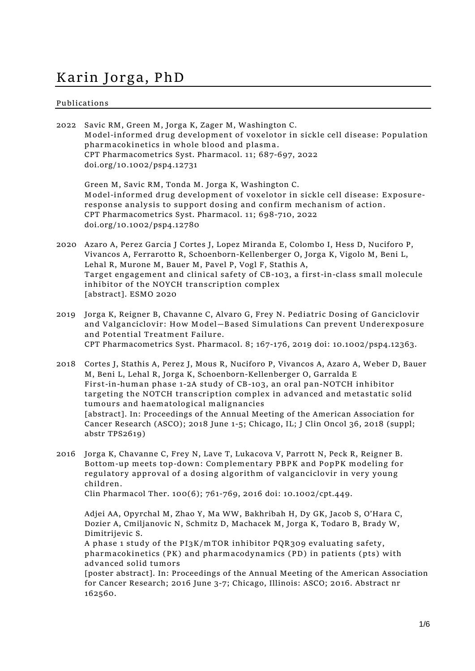## **Karin Jorga, PhD**

## **Publications**

| 2022 | Savic RM, Green M, Jorga K, Zager M, Washington C.<br>Model-informed drug development of voxelotor in sickle cell disease: Population<br>pharmacokinetics in whole blood and plasma.<br>CPT Pharmacometrics Syst. Pharmacol. 11; 687-697, 2022<br>doi.org/10.1002/psp4.12731                                                                                                                                                                                                                                                                               |
|------|------------------------------------------------------------------------------------------------------------------------------------------------------------------------------------------------------------------------------------------------------------------------------------------------------------------------------------------------------------------------------------------------------------------------------------------------------------------------------------------------------------------------------------------------------------|
|      | Green M, Savic RM, Tonda M. Jorga K, Washington C.<br>Model-informed drug development of voxelotor in sickle cell disease: Exposure-<br>response analysis to support dosing and confirm mechanism of action.<br>CPT Pharmacometrics Syst. Pharmacol. 11; 698-710, 2022<br>doi.org/10.1002/psp4.12780                                                                                                                                                                                                                                                       |
| 2020 | Azaro A, Perez Garcia J Cortes J, Lopez Miranda E, Colombo I, Hess D, Nuciforo P,<br>Vivancos A, Ferrarotto R, Schoenborn-Kellenberger O, Jorga K, Vigolo M, Beni L,<br>Lehal R, Murone M, Bauer M, Pavel P, Vogl F, Stathis A,<br>Target engagement and clinical safety of CB-103, a first-in-class small molecule<br>inhibitor of the NOYCH transcription complex<br>[abstract]. ESMO 2020                                                                                                                                                               |
| 2019 | Jorga K, Reigner B, Chavanne C, Alvaro G, Frey N. Pediatric Dosing of Ganciclovir<br>and Valganciclovir: How Model-Based Simulations Can prevent Underexposure<br>and Potential Treatment Failure.<br>CPT Pharmacometrics Syst. Pharmacol. 8; 167-176, 2019 doi: 10.1002/psp4.12363.                                                                                                                                                                                                                                                                       |
| 2018 | Cortes J, Stathis A, Perez J, Mous R, Nuciforo P, Vivancos A, Azaro A, Weber D, Bauer<br>M, Beni L, Lehal R, Jorga K, Schoenborn-Kellenberger O, Garralda E<br>First-in-human phase 1-2A study of CB-103, an oral pan-NOTCH inhibitor<br>targeting the NOTCH transcription complex in advanced and metastatic solid<br>tumours and haematological malignancies<br>[abstract]. In: Proceedings of the Annual Meeting of the American Association for<br>Cancer Research (ASCO); 2018 June 1-5; Chicago, IL; J Clin Oncol 36, 2018 (suppl;<br>abstr TPS2619) |
| 2016 | Jorga K, Chavanne C, Frey N, Lave T, Lukacova V, Parrott N, Peck R, Reigner B.<br>Bottom-up meets top-down: Complementary PBPK and PopPK modeling for<br>regulatory approval of a dosing algorithm of valganciclovir in very young<br>children.<br>Clin Pharmacol Ther. 100(6); 761-769, 2016 doi: 10.1002/cpt.449.                                                                                                                                                                                                                                        |
|      | Adjei AA, Opyrchal M, Zhao Y, Ma WW, Bakhribah H, Dy GK, Jacob S, O'Hara C,<br>Dozier A, Cmiljanovic N, Schmitz D, Machacek M, Jorga K, Todaro B, Brady W,<br>Dimitrijevic S.<br>A phase 1 study of the PI3K/mTOR inhibitor PQR309 evaluating safety,<br>pharmacokinetics (PK) and pharmacodynamics (PD) in patients (pts) with<br>advanced solid tumors<br>[poster abstract]. In: Proceedings of the Annual Meeting of the American Association<br>for Cancer Research; 2016 June 3-7; Chicago, Illinois: ASCO; 2016. Abstract nr<br>162560.              |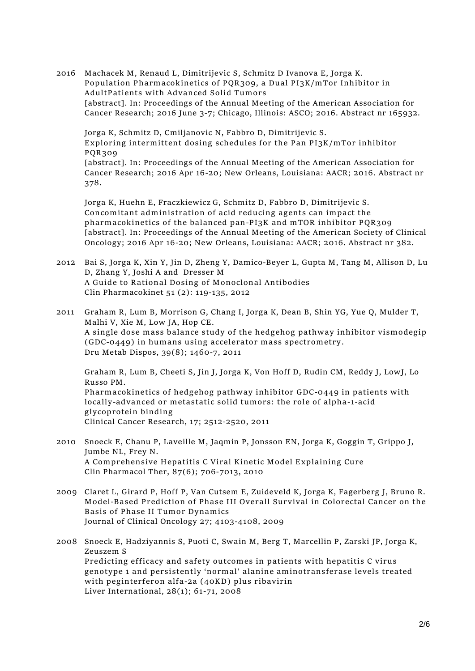2016 Machacek M, Renaud L, Dimitrijevic S, Schmitz D Ivanova E, Jorga K. **Population Pharmacokinetics of PQR309, a Dual PI3K/mTor Inhibitor in AdultPatients with Advanced Solid Tumors** [abstract]. In: Proceedings of the Annual Meeting of the American Association for Cancer Research; 2016 June 3-7; Chicago, Illinois: ASCO; 2016. Abstract nr 165932.

Jorga K, Schmitz D, Cmiljanovic N, Fabbro D, Dimitrijevic S. **Exploring intermittent dosing schedules for the Pan PI3K/mTor inhibitor PQR309**

[abstract]. In: Proceedings of the Annual Meeting of the American Association for Cancer Research; 2016 Apr 16-20; New Orleans, Louisiana: AACR; 2016. Abstract nr 378.

Jorga K, Huehn E, Fraczkiewicz G, Schmitz D, Fabbro D, Dimitrijevic S. **Concomitant administration of acid reducing agents can impact the pharmacokinetics of the balanced pan-PI3K and mTOR inhibitor PQR309** [abstract]. In: Proceedings of the Annual Meeting of the American Society of Clinical Oncology; 2016 Apr 16-20; New Orleans, Louisiana: AACR; 2016. Abstract nr 382.

- 2012 Bai S, Jorga K, Xin Y, Jin D, Zheng Y, Damico-Beyer L, Gupta M, Tang M, Allison D, Lu D, Zhang Y, Joshi A and Dresser M **A Guide to Rational Dosing of Monoclonal Antibodies** Clin Pharmacokinet 51 (2): 119-135, 2012
- 2011 Graham R, Lum B, Morrison G, Chang I, Jorga K, Dean B, Shin YG, Yue Q, Mulder T, Malhi V, Xie M, Low JA, Hop CE. **A single dose mass balance study of the hedgehog pathway inhibitor vismodegip (GDC-0449) in humans using accelerator mass spectrometry.** Dru Metab Dispos, 39(8); 1460-7, 2011

Graham R, Lum B, Cheeti S, Jin J, Jorga K, Von Hoff D, Rudin CM, Reddy J, LowJ, Lo Russo PM. **Pharmacokinetics of hedgehog pathway inhibitor GDC-0449 in patients with locally-advanced or metastatic solid tumors: the role of alpha-1-acid glycoprotein binding**

Clinical Cancer Research, 17; 2512-2520, 2011

- 2010 Snoeck E, Chanu P, Laveille M, Jaqmin P, Jonsson EN, Jorga K, Goggin T, Grippo J, Jumbe NL, Frey N. **A Comprehensive Hepatitis C Viral Kinetic Model Explaining Cure** Clin Pharmacol Ther, 87(6); 706-7013, 2010
- 2009 Claret L, Girard P, Hoff P, Van Cutsem E, Zuideveld K, Jorga K, Fagerberg J, Bruno R. **Model-Based Prediction of Phase III Overall Survival in Colorectal Cancer on the Basis of Phase II Tumor Dynamics** Journal of Clinical Oncology 27; 4103-4108, 2009

2008 Snoeck E, Hadziyannis S, Puoti C, Swain M, Berg T, Marcellin P, Zarski JP, Jorga K, Zeuszem S **Predicting efficacy and safety outcomes in patients with hepatitis C virus genotype 1 and persistently 'normal' alanine aminotransferase levels treated with peginterferon alfa-2a (40KD) plus ribavirin** Liver International, 28(1); 61-71, 2008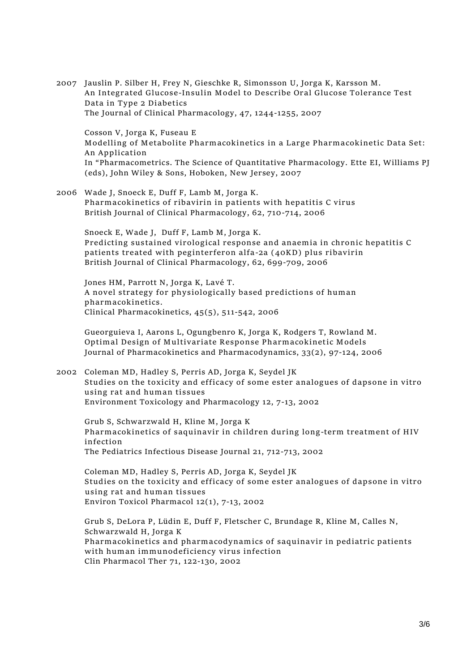2007 Jauslin P. Silber H, Frey N, Gieschke R, Simonsson U, Jorga K, Karsson M. **An Integrated Glucose-Insulin Model to Describe Oral Glucose Tolerance Test Data in Type 2 Diabetics** The Journal of Clinical Pharmacology, 47, 1244-1255, 2007

Cosson V, Jorga K, Fuseau E **Modelling of Metabolite Pharmacokinetics in a Large Pharmacokinetic Data Set: An Application** In "Pharmacometrics. The Science of Quantitative Pharmacology. Ette EI, Williams PJ (eds), John Wiley & Sons, Hoboken, New Jersey, 2007

2006 Wade J, Snoeck E, Duff F, Lamb M, Jorga K. **Pharmacokinetics of ribavirin in patients with hepatitis C virus** British Journal of Clinical Pharmacology, 62, 710-714, 2006

Snoeck E, Wade J, Duff F, Lamb M, Jorga K. **Predicting sustained virological response and anaemia in chronic hepatitis C patients treated with peginterferon alfa-2a (40KD) plus ribavirin** British Journal of Clinical Pharmacology, 62, 699-709, 2006

Jones HM, Parrott N, Jorga K, Lavé T. **A novel strategy for physiologically based predictions of human pharmacokinetics.** Clinical Pharmacokinetics, 45(5), 511-542, 2006

Gueorguieva I, Aarons L, Ogungbenro K, Jorga K, Rodgers T, Rowland M. **Optimal Design of Multivariate Response Pharmacokinetic Models** Journal of Pharmacokinetics and Pharmacodynamics, 33(2), 97-124, 2006

2002 Coleman MD, Hadley S, Perris AD, Jorga K, Seydel JK **Studies on the toxicity and efficacy of some ester analogues of dapsone in vitro using rat and human tissues** Environment Toxicology and Pharmacology 12, 7-13, 2002

Grub S, Schwarzwald H, Kline M, Jorga K **Pharmacokinetics of saquinavir in children during long-term treatment of HIV infection** The Pediatrics Infectious Disease Journal 21, 712-713, 2002

Coleman MD, Hadley S, Perris AD, Jorga K, Seydel JK **Studies on the toxicity and efficacy of some ester analogues of dapsone in vitro using rat and human tissues** Environ Toxicol Pharmacol 12(1), 7-13, 2002

Grub S, DeLora P, Lüdin E, Duff F, Fletscher C, Brundage R, Kline M, Calles N, Schwarzwald H, Jorga K **Pharmacokinetics and pharmacodynamics of saquinavir in pediatric patients with human immunodeficiency virus infection** Clin Pharmacol Ther 71, 122-130, 2002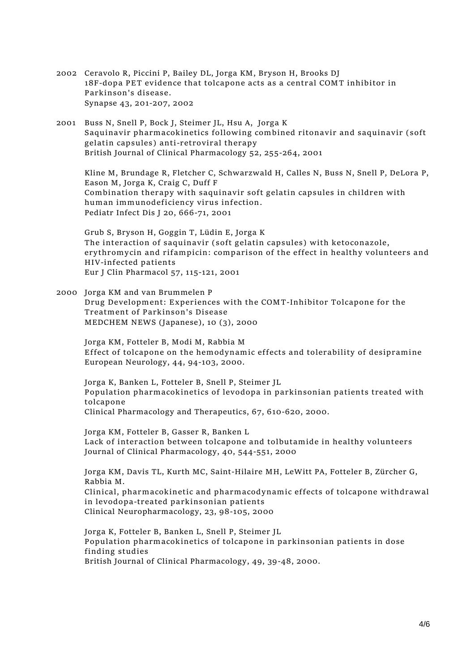- 2002 Ceravolo R, Piccini P, Bailey DL, Jorga KM, Bryson H, Brooks DJ **18F-dopa PET evidence that tolcapone acts as a central COMT inhibitor in Parkinson's disease.** Synapse 43, 201-207, 2002
- 2001 Buss N, Snell P, Bock J, Steimer JL, Hsu A, Jorga K **Saquinavir pharmacokinetics following combined ritonavir and saquinavir (soft gelatin capsules) anti-retroviral therapy** British Journal of Clinical Pharmacology 52, 255-264, 2001

Kline M, Brundage R, Fletcher C, Schwarzwald H, Calles N, Buss N, Snell P, DeLora P, Eason M, Jorga K, Craig C, Duff F **Combination therapy with saquinavir soft gelatin capsules in children with human immunodeficiency virus infection**. Pediatr Infect Dis J 20, 666-71, 2001

Grub S, Bryson H, Goggin T, Lüdin E, Jorga K **The interaction of saquinavir (soft gelatin capsules) with ketoconazole, erythromycin and rifampicin: comparison of the effect in healthy volunteers and HIV-infected patients** Eur J Clin Pharmacol 57, 115-121, 2001

2000 Jorga KM and van Brummelen P **Drug Development: Experiences with the COMT-Inhibitor Tolcapone for the Treatment of Parkinson's Disease** MEDCHEM NEWS (Japanese), 10 (3), 2000

Jorga KM, Fotteler B, Modi M, Rabbia M **Effect of tolcapone on the hemodynamic effects and tolerability of desipramine** European Neurology, 44, 94-103, 2000.

Jorga K, Banken L, Fotteler B, Snell P, Steimer JL **Population pharmacokinetics of levodopa in parkinsonian patients treated with tolcapone** Clinical Pharmacology and Therapeutics, 67, 610-620, 2000.

Jorga KM, Fotteler B, Gasser R, Banken L **Lack of interaction between tolcapone and tolbutamide in healthy volunteers** Journal of Clinical Pharmacology, 40, 544-551, 2000

Jorga KM, Davis TL, Kurth MC, Saint-Hilaire MH, LeWitt PA, Fotteler B, Zürcher G, Rabbia M. **Clinical, pharmacokinetic and pharmacodynamic effects of tolcapone withdrawal in levodopa-treated parkinsonian patients** Clinical Neuropharmacology, 23, 98-105, 2000

Jorga K, Fotteler B, Banken L, Snell P, Steimer JL **Population pharmacokinetics of tolcapone in parkinsonian patients in dose finding studies** British Journal of Clinical Pharmacology, 49, 39-48, 2000.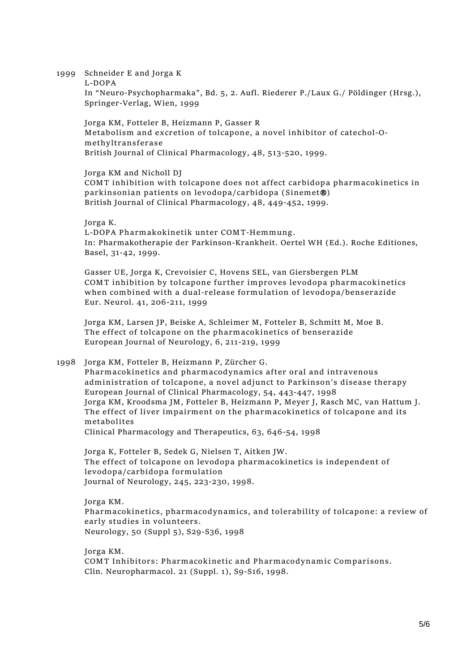1999 Schneider E and Jorga K

**L-DOPA**

In "Neuro-Psychopharmaka", Bd. 5, 2. Aufl. Riederer P./Laux G./ Pöldinger (Hrsg.), Springer-Verlag, Wien, 1999

Jorga KM, Fotteler B, Heizmann P, Gasser R **Metabolism and excretion of tolcapone, a novel inhibitor of catechol-Omethyltransferase** British Journal of Clinical Pharmacology, 48, 513-520, 1999.

Jorga KM and Nicholl DJ

**COMT inhibition with tolcapone does not affect carbidopa pharmacokinetics in parkinsonian patients on levodopa/carbidopa (Sinemet)** British Journal of Clinical Pharmacology, 48, 449-452, 1999.

Jorga K.

**L-DOPA Pharmakokinetik unter COMT-Hemmung.** In: Pharmakotherapie der Parkinson-Krankheit. Oertel WH (Ed.). Roche Editiones, Basel, 31-42, 1999.

Gasser UE, Jorga K, Crevoisier C, Hovens SEL, van Giersbergen PLM **COMT inhibition by tolcapone further improves levodopa pharmacokinetics when combined with a dual-release formulation of levodopa/benserazide** Eur. Neurol. 41, 206-211, 1999

Jorga KM, Larsen JP, Beiske A, Schleimer M, Fotteler B, Schmitt M, Moe B. **The effect of tolcapone on the pharmacokinetics of benserazide** European Journal of Neurology, 6, 211-219, 1999

1998 Jorga KM, Fotteler B, Heizmann P, Zürcher G. **Pharmacokinetics and pharmacodynamics after oral and intravenous administration of tolcapone, a novel adjunct to Parkinson's disease therapy** European Journal of Clinical Pharmacology, 54, 443-447, 1998 Jorga KM, Kroodsma JM, Fotteler B, Heizmann P, Meyer J, Rasch MC, van Hattum J. **The effect of liver impairment on the pharmacokinetics of tolcapone and its metabolites**

Clinical Pharmacology and Therapeutics, 63, 646-54, 1998

Jorga K, Fotteler B, Sedek G, Nielsen T, Aitken JW. **The effect of tolcapone on levodopa pharmacokinetics is independent of levodopa/carbidopa formulation** Journal of Neurology, 245, 223-230, 1998.

Jorga KM. **Pharmacokinetics, pharmacodynamics, and tolerability of tolcapone: a review of early studies in volunteers.** Neurology, 50 (Suppl 5), S29-S36, 1998

Jorga KM. **COMT Inhibitors: Pharmacokinetic and Pharmacodynamic Comparisons.** Clin. Neuropharmacol. 21 (Suppl. 1), S9-S16, 1998.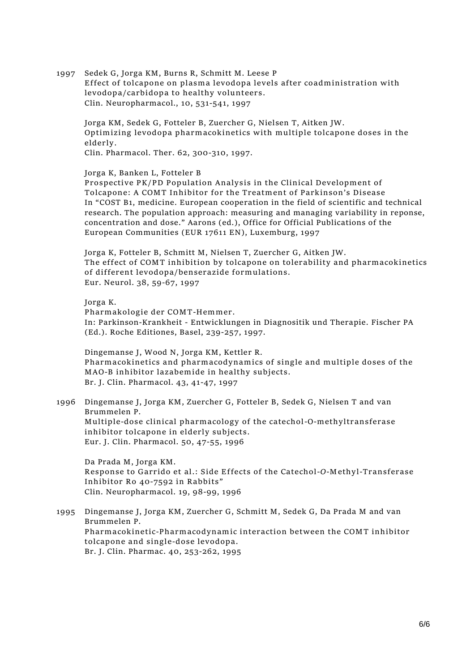1997 Sedek G, Jorga KM, Burns R, Schmitt M. Leese P **Effect of tolcapone on plasma levodopa levels after coadministration with levodopa/carbidopa to healthy volunteers.** Clin. Neuropharmacol., 10, 531-541, 1997

Jorga KM, Sedek G, Fotteler B, Zuercher G, Nielsen T, Aitken JW. **Optimizing levodopa pharmacokinetics with multiple tolcapone doses in the elderly.**

Clin. Pharmacol. Ther. 62, 300-310, 1997.

## Jorga K, Banken L, Fotteler B

**Prospective PK/PD Population Analysis in the Clinical Development of Tolcapone: A COMT Inhibitor for the Treatment of Parkinson's Disease** In "COST B1, medicine. European cooperation in the field of scientific and technical research. The population approach: measuring and managing variability in reponse, concentration and dose." Aarons (ed.), Office for Official Publications of the European Communities (EUR 17611 EN), Luxemburg, 1997

Jorga K, Fotteler B, Schmitt M, Nielsen T, Zuercher G, Aitken JW. **The effect of COMT inhibition by tolcapone on tolerability and pharmacokinetics of different levodopa/benserazide formulations.** Eur. Neurol. 38, 59-67, 1997

Jorga K.

**Pharmakologie der COMT-Hemmer.** In: Parkinson-Krankheit - Entwicklungen in Diagnositik und Therapie. Fischer PA (Ed.). Roche Editiones, Basel, 239-257, 1997.

Dingemanse J, Wood N, Jorga KM, Kettler R. **Pharmacokinetics and pharmacodynamics of single and multiple doses of the MAO-B inhibitor lazabemide in healthy subjects.** Br. J. Clin. Pharmacol. 43, 41-47, 1997

1996 Dingemanse J, Jorga KM, Zuercher G, Fotteler B, Sedek G, Nielsen T and van Brummelen P. **Multiple-dose clinical pharmacology of the catechol-O-methyltransferase inhibitor tolcapone in elderly subjects.** Eur. J. Clin. Pharmacol. 50, 47-55, 1996

Da Prada M, Jorga KM. **Response to Garrido et al.: Side Effects of the Catechol-***O***-Methyl-Transferase Inhibitor Ro 40-7592 in Rabbits"** Clin. Neuropharmacol. 19, 98-99, 1996

1995 Dingemanse J, Jorga KM, Zuercher G, Schmitt M, Sedek G, Da Prada M and van Brummelen P. **Pharmacokinetic-Pharmacodynamic interaction between the COMT inhibitor tolcapone and single-dose levodopa.** Br. J. Clin. Pharmac. 40, 253-262, 1995